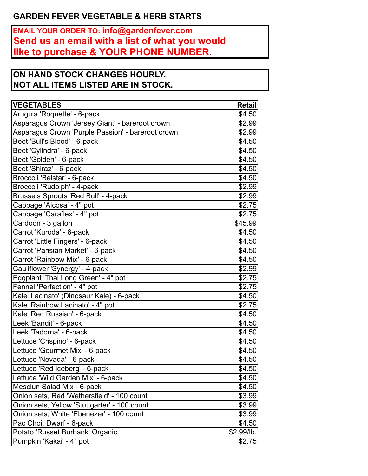## **GARDEN FEVER VEGETABLE & HERB STARTS**

**EMAIL YOUR ORDER TO: info@gardenfever.com Send us an email with a list of what you would like to purchase & YOUR PHONE NUMBER.**

## **ON HAND STOCK CHANGES HOURLY. NOT ALL ITEMS LISTED ARE IN STOCK.**

| <b>VEGETABLES</b>                                 | <b>Retail</b> |
|---------------------------------------------------|---------------|
| Arugula 'Roquette' - 6-pack                       | \$4.50        |
| Asparagus Crown 'Jersey Giant' - bareroot crown   | \$2.99        |
| Asparagus Crown 'Purple Passion' - bareroot crown | \$2.99        |
| Beet 'Bull's Blood' - 6-pack                      | \$4.50        |
| Beet 'Cylindra' - 6-pack                          | \$4.50        |
| Beet 'Golden' - 6-pack                            | \$4.50        |
| Beet 'Shiraz' - 6-pack                            | \$4.50        |
| Broccoli 'Belstar' - 6-pack                       | \$4.50        |
| Broccoli 'Rudolph' - 4-pack                       | \$2.99        |
| Brussels Sprouts 'Red Bull' - 4-pack              | \$2.99        |
| Cabbage 'Alcosa' - 4" pot                         | \$2.75        |
| Cabbage 'Caraflex' - 4" pot                       | \$2.75        |
| Cardoon - 3 gallon                                | \$45.99       |
| Carrot 'Kuroda' - 6-pack                          | \$4.50        |
| Carrot 'Little Fingers' - 6-pack                  | \$4.50        |
| Carrot 'Parisian Market' - 6-pack                 | \$4.50        |
| Carrot 'Rainbow Mix' - 6-pack                     | \$4.50        |
| Cauliflower 'Synergy' - 4-pack                    | \$2.99        |
| Eggplant 'Thai Long Green' - 4" pot               | \$2.75        |
| Fennel 'Perfection' - 4" pot                      | \$2.75        |
| Kale 'Lacinato' (Dinosaur Kale) - 6-pack          | \$4.50        |
| Kale 'Rainbow Lacinato' - 4" pot                  | \$2.75        |
| Kale 'Red Russian' - 6-pack                       | \$4.50        |
| Leek 'Bandit' - 6-pack                            | \$4.50        |
| Leek 'Tadorna' - 6-pack                           | \$4.50        |
| Lettuce 'Crispino' - 6-pack                       | \$4.50        |
| Lettuce 'Gourmet Mix' - 6-pack                    | \$4.50        |
| Lettuce 'Nevada' - 6-pack                         | \$4.50        |
| Lettuce 'Red Iceberg' - 6-pack                    | \$4.50        |
| Lettuce 'Wild Garden Mix' - 6-pack                | \$4.50        |
| Mesclun Salad Mix - 6-pack                        | \$4.50        |
| Onion sets, Red 'Wethersfield' - 100 count        | \$3.99        |
| Onion sets, Yellow 'Stuttgarter' - 100 count      | \$3.99        |
| Onion sets, White 'Ebenezer' - 100 count          | \$3.99        |
| Pac Choi, Dwarf - 6-pack                          | \$4.50        |
| Potato 'Russet Burbank' Organic                   | \$2.99/lb.    |
| Pumpkin 'Kakai' - 4" pot                          | \$2.75        |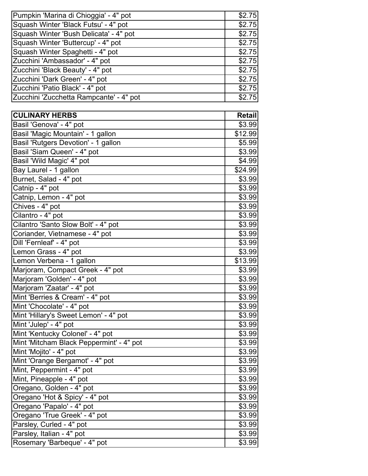| Pumpkin 'Marina di Chioggia' - 4" pot   | \$2.75 |
|-----------------------------------------|--------|
| Squash Winter 'Black Futsu' - 4" pot    | \$2.75 |
| Squash Winter 'Bush Delicata' - 4" pot  | \$2.75 |
| Squash Winter 'Buttercup' - 4" pot      | \$2.75 |
| Squash Winter Spaghetti - 4" pot        | \$2.75 |
| Zucchini 'Ambassador' - 4" pot          | \$2.75 |
| Zucchini 'Black Beauty' - 4" pot        | \$2.75 |
| Zucchini 'Dark Green' - 4" pot          | \$2.75 |
| Zucchini 'Patio Black' - 4" pot         | \$2.75 |
| Zucchini 'Zucchetta Rampcante' - 4" pot | \$2.75 |

| <b>CULINARY HERBS</b>                    | <b>Retail</b> |
|------------------------------------------|---------------|
| Basil 'Genova' - 4" pot                  | \$3.99        |
| Basil 'Magic Mountain' - 1 gallon        | \$12.99       |
| Basil 'Rutgers Devotion' - 1 gallon      | \$5.99        |
| Basil 'Siam Queen' - 4" pot              | \$3.99        |
| Basil 'Wild Magic' 4" pot                | \$4.99        |
| Bay Laurel - 1 gallon                    | \$24.99       |
| Burnet, Salad - 4" pot                   | \$3.99        |
| Catnip - 4" pot                          | \$3.99        |
| Catnip, Lemon - 4" pot                   | \$3.99        |
| Chives - 4" pot                          | \$3.99        |
| Cilantro - 4" pot                        | \$3.99        |
| Cilantro 'Santo Slow Bolt' - 4" pot      | \$3.99        |
| Coriander, Vietnamese - 4" pot           | \$3.99        |
| Dill 'Fernleaf' - 4" pot                 | \$3.99        |
| Lemon Grass - 4" pot                     | \$3.99        |
| Lemon Verbena - 1 gallon                 | \$13.99       |
| Marjoram, Compact Greek - 4" pot         | \$3.99        |
| Marjoram 'Golden' - 4" pot               | \$3.99        |
| Marjoram 'Zaatar' - 4" pot               | \$3.99        |
| Mint 'Berries & Cream' - 4" pot          | \$3.99        |
| Mint 'Chocolate' - 4" pot                | \$3.99        |
| Mint 'Hillary's Sweet Lemon' - 4" pot    | \$3.99        |
| Mint 'Julep' - 4" pot                    | \$3.99        |
| Mint 'Kentucky Colonel' - 4" pot         | \$3.99        |
| Mint 'Mitcham Black Peppermint' - 4" pot | \$3.99        |
| Mint 'Mojito' - 4" pot                   | \$3.99        |
| Mint 'Orange Bergamot' - 4" pot          | \$3.99        |
| Mint, Peppermint - 4" pot                | \$3.99        |
| Mint, Pineapple - 4" pot                 | \$3.99        |
| Oregano, Golden - 4" pot                 | \$3.99        |
| Oregano 'Hot & Spicy' - 4" pot           | \$3.99        |
| Oregano 'Papalo' - 4" pot                | \$3.99        |
| Oregano 'True Greek' - 4" pot            | \$3.99        |
| Parsley, Curled - 4" pot                 | \$3.99        |
| Parsley, Italian - 4" pot                | \$3.99        |
| Rosemary 'Barbeque' - 4" pot             | \$3.99        |